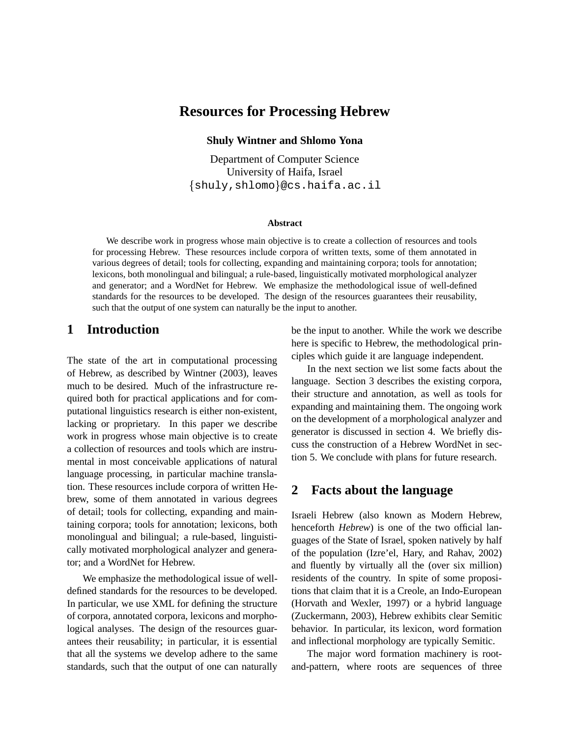# **Resources for Processing Hebrew**

**Shuly Wintner and Shlomo Yona**

Department of Computer Science University of Haifa, Israel  $\{\texttt{shuly}, \texttt{shlomo}\}$ @cs.haifa.ac.il

#### **Abstract**

We describe work in progress whose main objective is to create a collection of resources and tools for processing Hebrew. These resources include corpora of written texts, some of them annotated in various degrees of detail; tools for collecting, expanding and maintaining corpora; tools for annotation; lexicons, both monolingual and bilingual; a rule-based, linguistically motivated morphological analyzer and generator; and a WordNet for Hebrew. We emphasize the methodological issue of well-defined standards for the resources to be developed. The design of the resources guarantees their reusability, such that the output of one system can naturally be the input to another.

### **1 Introduction**

The state of the art in computational processing of Hebrew, as described by Wintner (2003), leaves much to be desired. Much of the infrastructure required both for practical applications and for computational linguistics research is either non-existent, lacking or proprietary. In this paper we describe work in progress whose main objective is to create a collection of resources and tools which are instrumental in most conceivable applications of natural language processing, in particular machine translation. These resources include corpora of written Hebrew, some of them annotated in various degrees of detail; tools for collecting, expanding and maintaining corpora; tools for annotation; lexicons, both monolingual and bilingual; a rule-based, linguistically motivated morphological analyzer and generator; and a WordNet for Hebrew.

We emphasize the methodological issue of welldefined standards for the resources to be developed. In particular, we use XML for defining the structure of corpora, annotated corpora, lexicons and morphological analyses. The design of the resources guarantees their reusability; in particular, it is essential that all the systems we develop adhere to the same standards, such that the output of one can naturally be the input to another. While the work we describe here is specific to Hebrew, the methodological principles which guide it are language independent.

In the next section we list some facts about the language. Section 3 describes the existing corpora, their structure and annotation, as well as tools for expanding and maintaining them. The ongoing work on the development of a morphological analyzer and generator is discussed in section 4. We briefly discuss the construction of a Hebrew WordNet in section 5. We conclude with plans for future research.

#### **2 Facts about the language**

Israeli Hebrew (also known as Modern Hebrew, henceforth *Hebrew*) is one of the two official languages of the State of Israel, spoken natively by half of the population (Izre'el, Hary, and Rahav, 2002) and fluently by virtually all the (over six million) residents of the country. In spite of some propositions that claim that it is a Creole, an Indo-European (Horvath and Wexler, 1997) or a hybrid language (Zuckermann, 2003), Hebrew exhibits clear Semitic behavior. In particular, its lexicon, word formation and inflectional morphology are typically Semitic.

The major word formation machinery is rootand-pattern, where roots are sequences of three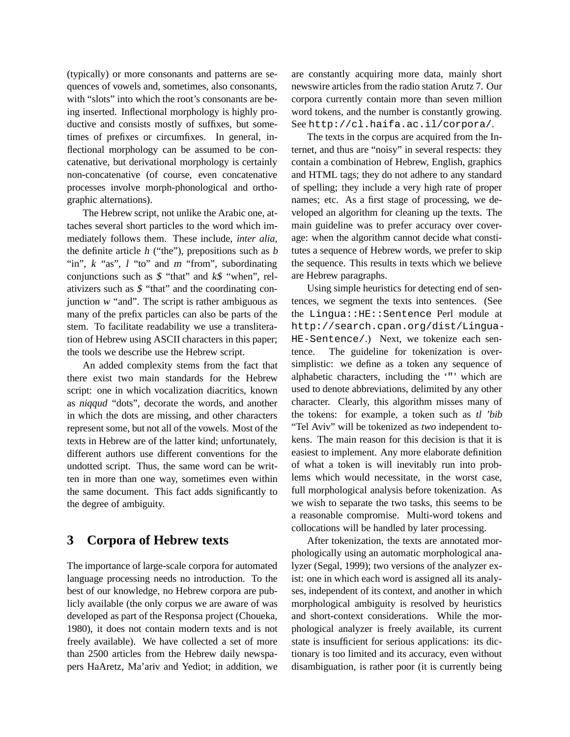(typically) or more consonants and patterns are sequences of vowels and, sometimes, also consonants, with "slots" into which the root's consonants are being inserted. Inflectional morphology is highly productive and consists mostly of suffixes, but sometimes of prefixes or circumfixes. In general, inflectional morphology can be assumed to be concatenative, but derivational morphology is certainly non-concatenative (of course, even concatenative processes involve morph-phonological and orthographic alternations).

The Hebrew script, not unlike the Arabic one, attaches several short particles to the word which immediately follows them. These include, *inter alia*, the definite article  $h$  ("the"), prepositions such as  $b$ "in", k "as", l "to" and m "from", subordinating conjunctions such as  $$$  "that" and  $k$$  "when", relativizers such as \$ "that" and the coordinating conjunction <sup>w</sup> "and". The script is rather ambiguous as many of the prefix particles can also be parts of the stem. To facilitate readability we use a transliteration of Hebrew using ASCII characters in this paper; the tools we describe use the Hebrew script.

An added complexity stems from the fact that there exist two main standards for the Hebrew script: one in which vocalization diacritics, known as niqqud "dots", decorate the words, and another in which the dots are missing, and other characters represent some, but not all of the vowels. Most of the texts in Hebrew are of the latter kind; unfortunately, different authors use different conventions for the undotted script. Thus, the same word can be written in more than one way, sometimes even within the same document. This fact adds significantly to the degree of ambiguity.

# **3 Corpora of Hebrew texts**

The importance of large-scale corpora for automated language processing needs no introduction. To the best of our knowledge, no Hebrew corpora are publicly available (the only corpus we are aware of was developed as part of the Responsa project (Choueka, 1980), it does not contain modern texts and is not freely available). We have collected a set of more than 2500 articles from the Hebrew daily newspapers HaAretz, Ma'ariv and Yediot; in addition, we are constantly acquiring more data, mainly short newswire articles from the radio station Arutz 7. Our corpora currently contain more than seven million word tokens, and the number is constantly growing. See http://cl.haifa.ac.il/corpora/.

The texts in the corpus are acquired from the Internet, and thus are "noisy" in several respects: they contain a combination of Hebrew, English, graphics and HTML tags; they do not adhere to any standard of spelling; they include a very high rate of proper names; etc. As a first stage of processing, we developed an algorithm for cleaning up the texts. The main guideline was to prefer accuracy over coverage: when the algorithm cannot decide what constitutes a sequence of Hebrew words, we prefer to skip the sequence. This results in texts which we believe are Hebrew paragraphs.

Using simple heuristics for detecting end of sentences, we segment the texts into sentences. (See the Lingua::HE::Sentence Perl module at http://search.cpan.org/dist/Lingua-HE-Sentence/.) Next, we tokenize each sentence. The guideline for tokenization is oversimplistic: we define as a token any sequence of alphabetic characters, including the '"' which are used to denote abbreviations, delimited by any other character. Clearly, this algorithm misses many of the tokens: for example, a token such as tl 'bib "Tel Aviv" will be tokenized as *two* independent tokens. The main reason for this decision is that it is easiest to implement. Any more elaborate definition of what a token is will inevitably run into problems which would necessitate, in the worst case, full morphological analysis before tokenization. As we wish to separate the two tasks, this seems to be a reasonable compromise. Multi-word tokens and collocations will be handled by later processing.

After tokenization, the texts are annotated morphologically using an automatic morphological analyzer (Segal, 1999); two versions of the analyzer exist: one in which each word is assigned all its analyses, independent of its context, and another in which morphological ambiguity is resolved by heuristics and short-context considerations. While the morphological analyzer is freely available, its current state is insufficient for serious applications: its dictionary is too limited and its accuracy, even without disambiguation, is rather poor (it is currently being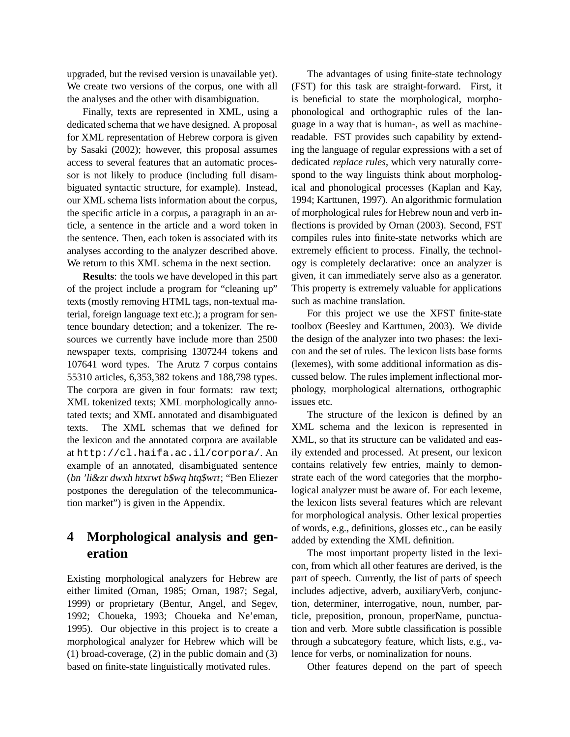upgraded, but the revised version is unavailable yet). We create two versions of the corpus, one with all the analyses and the other with disambiguation.

Finally, texts are represented in XML, using a dedicated schema that we have designed. A proposal for XML representation of Hebrew corpora is given by Sasaki (2002); however, this proposal assumes access to several features that an automatic processor is not likely to produce (including full disambiguated syntactic structure, for example). Instead, our XML schema lists information about the corpus, the specific article in a corpus, a paragraph in an article, a sentence in the article and a word token in the sentence. Then, each token is associated with its analyses according to the analyzer described above. We return to this XML schema in the next section.

**Results**: the tools we have developed in this part of the project include a program for "cleaning up" texts (mostly removing HTML tags, non-textual material, foreign language text etc.); a program for sentence boundary detection; and a tokenizer. The resources we currently have include more than 2500 newspaper texts, comprising 1307244 tokens and 107641 word types. The Arutz 7 corpus contains 55310 articles, 6,353,382 tokens and 188,798 types. The corpora are given in four formats: raw text; XML tokenized texts; XML morphologically annotated texts; and XML annotated and disambiguated texts. The XML schemas that we defined for the lexicon and the annotated corpora are available at http://cl.haifa.ac.il/corpora/. An example of an annotated, disambiguated sentence (bn 'li&zr dwxh htxrwt b\$wq htq\$wrt; "Ben Eliezer postpones the deregulation of the telecommunication market") is given in the Appendix.

# **4 Morphological analysis and generation**

Existing morphological analyzers for Hebrew are either limited (Ornan, 1985; Ornan, 1987; Segal, 1999) or proprietary (Bentur, Angel, and Segev, 1992; Choueka, 1993; Choueka and Ne'eman, 1995). Our objective in this project is to create a morphological analyzer for Hebrew which will be (1) broad-coverage, (2) in the public domain and (3) based on finite-state linguistically motivated rules.

The advantages of using finite-state technology (FST) for this task are straight-forward. First, it is beneficial to state the morphological, morphophonological and orthographic rules of the language in a way that is human-, as well as machinereadable. FST provides such capability by extending the language of regular expressions with a set of dedicated *replace rules*, which very naturally correspond to the way linguists think about morphological and phonological processes (Kaplan and Kay, 1994; Karttunen, 1997). An algorithmic formulation of morphological rules for Hebrew noun and verb inflections is provided by Ornan (2003). Second, FST compiles rules into finite-state networks which are extremely efficient to process. Finally, the technology is completely declarative: once an analyzer is given, it can immediately serve also as a generator. This property is extremely valuable for applications such as machine translation.

For this project we use the XFST finite-state toolbox (Beesley and Karttunen, 2003). We divide the design of the analyzer into two phases: the lexicon and the set of rules. The lexicon lists base forms (lexemes), with some additional information as discussed below. The rules implement inflectional morphology, morphological alternations, orthographic issues etc.

The structure of the lexicon is defined by an XML schema and the lexicon is represented in XML, so that its structure can be validated and easily extended and processed. At present, our lexicon contains relatively few entries, mainly to demonstrate each of the word categories that the morphological analyzer must be aware of. For each lexeme, the lexicon lists several features which are relevant for morphological analysis. Other lexical properties of words, e.g., definitions, glosses etc., can be easily added by extending the XML definition.

The most important property listed in the lexicon, from which all other features are derived, is the part of speech. Currently, the list of parts of speech includes adjective, adverb, auxiliaryVerb, conjunction, determiner, interrogative, noun, number, particle, preposition, pronoun, properName, punctuation and verb. More subtle classification is possible through a subcategory feature, which lists, e.g., valence for verbs, or nominalization for nouns.

Other features depend on the part of speech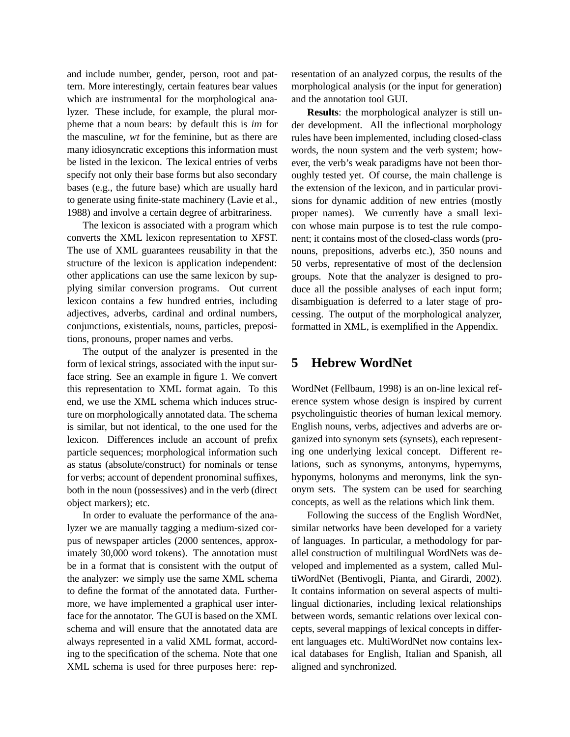and include number, gender, person, root and pattern. More interestingly, certain features bear values which are instrumental for the morphological analyzer. These include, for example, the plural morpheme that a noun bears: by default this is im for the masculine, wt for the feminine, but as there are many idiosyncratic exceptions this information must be listed in the lexicon. The lexical entries of verbs specify not only their base forms but also secondary bases (e.g., the future base) which are usually hard to generate using finite-state machinery (Lavie et al., 1988) and involve a certain degree of arbitrariness.

The lexicon is associated with a program which converts the XML lexicon representation to XFST. The use of XML guarantees reusability in that the structure of the lexicon is application independent: other applications can use the same lexicon by supplying similar conversion programs. Out current lexicon contains a few hundred entries, including adjectives, adverbs, cardinal and ordinal numbers, conjunctions, existentials, nouns, particles, prepositions, pronouns, proper names and verbs.

The output of the analyzer is presented in the form of lexical strings, associated with the input surface string. See an example in figure 1. We convert this representation to XML format again. To this end, we use the XML schema which induces structure on morphologically annotated data. The schema is similar, but not identical, to the one used for the lexicon. Differences include an account of prefix particle sequences; morphological information such as status (absolute/construct) for nominals or tense for verbs; account of dependent pronominal suffixes, both in the noun (possessives) and in the verb (direct object markers); etc.

In order to evaluate the performance of the analyzer we are manually tagging a medium-sized corpus of newspaper articles (2000 sentences, approximately 30,000 word tokens). The annotation must be in a format that is consistent with the output of the analyzer: we simply use the same XML schema to define the format of the annotated data. Furthermore, we have implemented a graphical user interface for the annotator. The GUI is based on the XML schema and will ensure that the annotated data are always represented in a valid XML format, according to the specification of the schema. Note that one XML schema is used for three purposes here: representation of an analyzed corpus, the results of the morphological analysis (or the input for generation) and the annotation tool GUI.

**Results**: the morphological analyzer is still under development. All the inflectional morphology rules have been implemented, including closed-class words, the noun system and the verb system; however, the verb's weak paradigms have not been thoroughly tested yet. Of course, the main challenge is the extension of the lexicon, and in particular provisions for dynamic addition of new entries (mostly proper names). We currently have a small lexicon whose main purpose is to test the rule component; it contains most of the closed-class words (pronouns, prepositions, adverbs etc.), 350 nouns and 50 verbs, representative of most of the declension groups. Note that the analyzer is designed to produce all the possible analyses of each input form; disambiguation is deferred to a later stage of processing. The output of the morphological analyzer, formatted in XML, is exemplified in the Appendix.

### **5 Hebrew WordNet**

WordNet (Fellbaum, 1998) is an on-line lexical reference system whose design is inspired by current psycholinguistic theories of human lexical memory. English nouns, verbs, adjectives and adverbs are organized into synonym sets (synsets), each representing one underlying lexical concept. Different relations, such as synonyms, antonyms, hypernyms, hyponyms, holonyms and meronyms, link the synonym sets. The system can be used for searching concepts, as well as the relations which link them.

Following the success of the English WordNet, similar networks have been developed for a variety of languages. In particular, a methodology for parallel construction of multilingual WordNets was developed and implemented as a system, called MultiWordNet (Bentivogli, Pianta, and Girardi, 2002). It contains information on several aspects of multilingual dictionaries, including lexical relationships between words, semantic relations over lexical concepts, several mappings of lexical concepts in different languages etc. MultiWordNet now contains lexical databases for English, Italian and Spanish, all aligned and synchronized.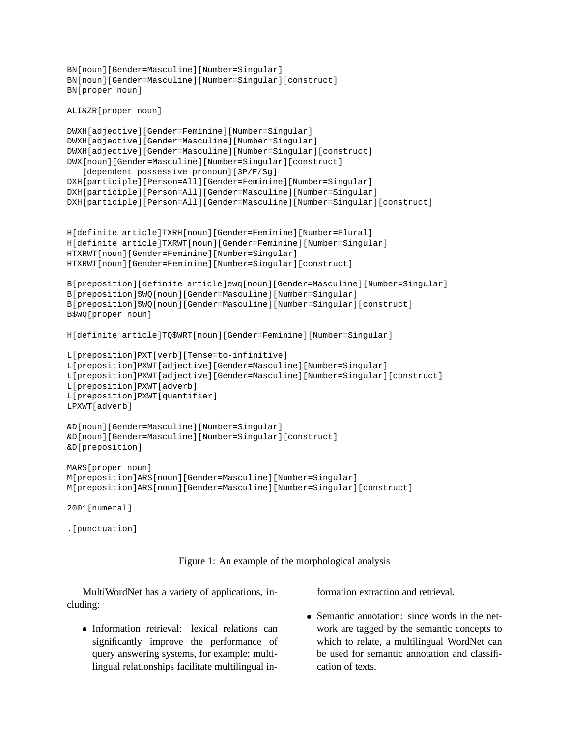```
BN[noun][Gender=Masculine][Number=Singular]
BN[noun][Gender=Masculine][Number=Singular][construct]
BN[proper noun]
```

```
ALI&ZR[proper noun]
```

```
DWXH[adjective][Gender=Feminine][Number=Singular]
DWXH[adjective][Gender=Masculine][Number=Singular]
DWXH[adjective][Gender=Masculine][Number=Singular][construct]
DWX[noun][Gender=Masculine][Number=Singular][construct]
   [dependent possessive pronoun][3P/F/Sg]
DXH[participle][Person=All][Gender=Feminine][Number=Singular]
DXH[participle][Person=All][Gender=Masculine][Number=Singular]
DXH[participle][Person=All][Gender=Masculine][Number=Singular][construct]
H[definite article]TXRH[noun][Gender=Feminine][Number=Plural]
H[definite article]TXRWT[noun][Gender=Feminine][Number=Singular]
HTXRWT[noun][Gender=Feminine][Number=Singular]
HTXRWT[noun][Gender=Feminine][Number=Singular][construct]
B[preposition][definite article]ewq[noun][Gender=Masculine][Number=Singular]
B[preposition]$WQ[noun][Gender=Masculine][Number=Singular]
B[preposition]$WQ[noun][Gender=Masculine][Number=Singular][construct]
B$WQ[proper noun]
H[definite article]TQ$WRT[noun][Gender=Feminine][Number=Singular]
L[preposition]PXT[verb][Tense=to-infinitive]
L[preposition]PXWT[adjective][Gender=Masculine][Number=Singular]
L[preposition]PXWT[adjective][Gender=Masculine][Number=Singular][construct]
L[preposition]PXWT[adverb]
L[preposition]PXWT[quantifier]
LPXWT[adverb]
&D[noun][Gender=Masculine][Number=Singular]
&D[noun][Gender=Masculine][Number=Singular][construct]
&D[preposition]
MARS[proper noun]
M[preposition]ARS[noun][Gender=Masculine][Number=Singular]
M[preposition]ARS[noun][Gender=Masculine][Number=Singular][construct]
2001[numeral]
```
.[punctuation]



MultiWordNet has a variety of applications, including:

 Information retrieval: lexical relations can significantly improve the performance of query answering systems, for example; multilingual relationships facilitate multilingual information extraction and retrieval.

 Semantic annotation: since words in the network are tagged by the semantic concepts to which to relate, a multilingual WordNet can be used for semantic annotation and classification of texts.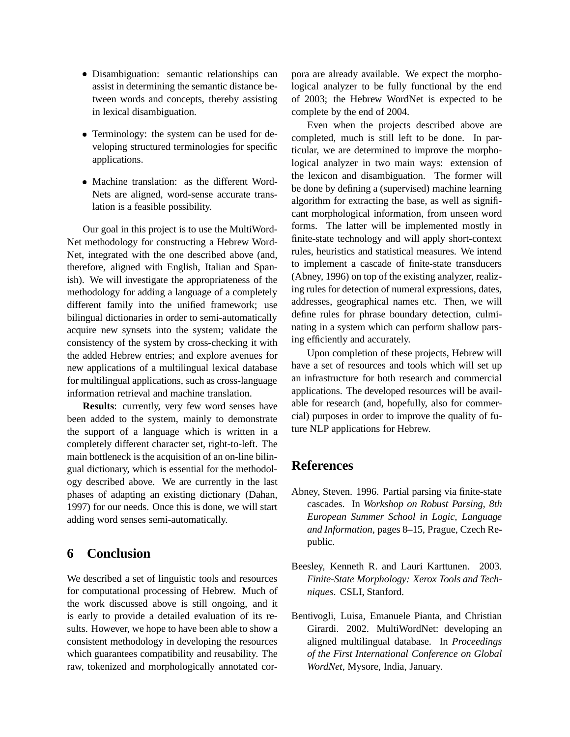- Disambiguation: semantic relationships can assist in determining the semantic distance between words and concepts, thereby assisting in lexical disambiguation.
- Terminology: the system can be used for developing structured terminologies for specific applications.
- Machine translation: as the different Word-Nets are aligned, word-sense accurate translation is a feasible possibility.

Our goal in this project is to use the MultiWord-Net methodology for constructing a Hebrew Word-Net, integrated with the one described above (and, therefore, aligned with English, Italian and Spanish). We will investigate the appropriateness of the methodology for adding a language of a completely different family into the unified framework; use bilingual dictionaries in order to semi-automatically acquire new synsets into the system; validate the consistency of the system by cross-checking it with the added Hebrew entries; and explore avenues for new applications of a multilingual lexical database for multilingual applications, such as cross-language information retrieval and machine translation.

**Results**: currently, very few word senses have been added to the system, mainly to demonstrate the support of a language which is written in a completely different character set, right-to-left. The main bottleneck is the acquisition of an on-line bilingual dictionary, which is essential for the methodology described above. We are currently in the last phases of adapting an existing dictionary (Dahan, 1997) for our needs. Once this is done, we will start adding word senses semi-automatically.

# **6 Conclusion**

We described a set of linguistic tools and resources for computational processing of Hebrew. Much of the work discussed above is still ongoing, and it is early to provide a detailed evaluation of its results. However, we hope to have been able to show a consistent methodology in developing the resources which guarantees compatibility and reusability. The raw, tokenized and morphologically annotated corpora are already available. We expect the morphological analyzer to be fully functional by the end of 2003; the Hebrew WordNet is expected to be complete by the end of 2004.

Even when the projects described above are completed, much is still left to be done. In particular, we are determined to improve the morphological analyzer in two main ways: extension of the lexicon and disambiguation. The former will be done by defining a (supervised) machine learning algorithm for extracting the base, as well as significant morphological information, from unseen word forms. The latter will be implemented mostly in finite-state technology and will apply short-context rules, heuristics and statistical measures. We intend to implement a cascade of finite-state transducers (Abney, 1996) on top of the existing analyzer, realizing rules for detection of numeral expressions, dates, addresses, geographical names etc. Then, we will define rules for phrase boundary detection, culminating in a system which can perform shallow parsing efficiently and accurately.

Upon completion of these projects, Hebrew will have a set of resources and tools which will set up an infrastructure for both research and commercial applications. The developed resources will be available for research (and, hopefully, also for commercial) purposes in order to improve the quality of future NLP applications for Hebrew.

# **References**

- Abney, Steven. 1996. Partial parsing via finite-state cascades. In *Workshop on Robust Parsing, 8th European Summer School in Logic, Language and Information*, pages 8–15, Prague, Czech Republic.
- Beesley, Kenneth R. and Lauri Karttunen. 2003. *Finite-State Morphology: Xerox Tools and Techniques*. CSLI, Stanford.
- Bentivogli, Luisa, Emanuele Pianta, and Christian Girardi. 2002. MultiWordNet: developing an aligned multilingual database. In *Proceedings of the First International Conference on Global WordNet*, Mysore, India, January.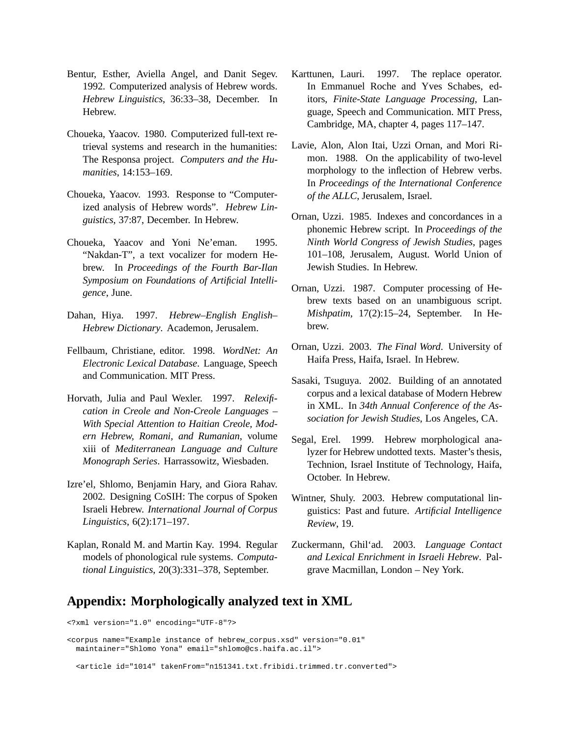- Bentur, Esther, Aviella Angel, and Danit Segev. 1992. Computerized analysis of Hebrew words. *Hebrew Linguistics*, 36:33–38, December. In Hebrew.
- Choueka, Yaacov. 1980. Computerized full-text retrieval systems and research in the humanities: The Responsa project. *Computers and the Humanities*, 14:153–169.
- Choueka, Yaacov. 1993. Response to "Computerized analysis of Hebrew words". *Hebrew Linguistics*, 37:87, December. In Hebrew.
- Choueka, Yaacov and Yoni Ne'eman. 1995. "Nakdan-T", a text vocalizer for modern Hebrew. In *Proceedings of the Fourth Bar-Ilan Symposium on Foundations of Artificial Intelligence*, June.
- Dahan, Hiya. 1997. *Hebrew–English English– Hebrew Dictionary*. Academon, Jerusalem.
- Fellbaum, Christiane, editor. 1998. *WordNet: An Electronic Lexical Database*. Language, Speech and Communication. MIT Press.
- Horvath, Julia and Paul Wexler. 1997. *Relexification in Creole and Non-Creole Languages – With Special Attention to Haitian Creole, Modern Hebrew, Romani, and Rumanian*, volume xiii of *Mediterranean Language and Culture Monograph Series*. Harrassowitz, Wiesbaden.
- Izre'el, Shlomo, Benjamin Hary, and Giora Rahav. 2002. Designing CoSIH: The corpus of Spoken Israeli Hebrew. *International Journal of Corpus Linguistics*, 6(2):171–197.
- Kaplan, Ronald M. and Martin Kay. 1994. Regular models of phonological rule systems. *Computational Linguistics*, 20(3):331–378, September.
- Karttunen, Lauri. 1997. The replace operator. In Emmanuel Roche and Yves Schabes, editors, *Finite-State Language Processing*, Language, Speech and Communication. MIT Press, Cambridge, MA, chapter 4, pages 117–147.
- Lavie, Alon, Alon Itai, Uzzi Ornan, and Mori Rimon. 1988. On the applicability of two-level morphology to the inflection of Hebrew verbs. In *Proceedings of the International Conference of the ALLC*, Jerusalem, Israel.
- Ornan, Uzzi. 1985. Indexes and concordances in a phonemic Hebrew script. In *Proceedings of the Ninth World Congress of Jewish Studies*, pages 101–108, Jerusalem, August. World Union of Jewish Studies. In Hebrew.
- Ornan, Uzzi. 1987. Computer processing of Hebrew texts based on an unambiguous script. *Mishpatim*, 17(2):15–24, September. In Hebrew.
- Ornan, Uzzi. 2003. *The Final Word*. University of Haifa Press, Haifa, Israel. In Hebrew.
- Sasaki, Tsuguya. 2002. Building of an annotated corpus and a lexical database of Modern Hebrew in XML. In *34th Annual Conference of the Association for Jewish Studies*, Los Angeles, CA.
- Segal, Erel. 1999. Hebrew morphological analyzer for Hebrew undotted texts. Master's thesis, Technion, Israel Institute of Technology, Haifa, October. In Hebrew.
- Wintner, Shuly. 2003. Hebrew computational linguistics: Past and future. *Artificial Intelligence Review*, 19.
- Zuckermann, Ghil'ad. 2003. *Language Contact and Lexical Enrichment in Israeli Hebrew*. Palgrave Macmillan, London – Ney York.

# **Appendix: Morphologically analyzed text in XML**

```
<?xml version="1.0" encoding="UTF-8"?>
<corpus name="Example instance of hebrew_corpus.xsd" version="0.01"
  maintainer="Shlomo Yona" email="shlomo@cs.haifa.ac.il">
  <article id="1014" takenFrom="n151341.txt.fribidi.trimmed.tr.converted">
```